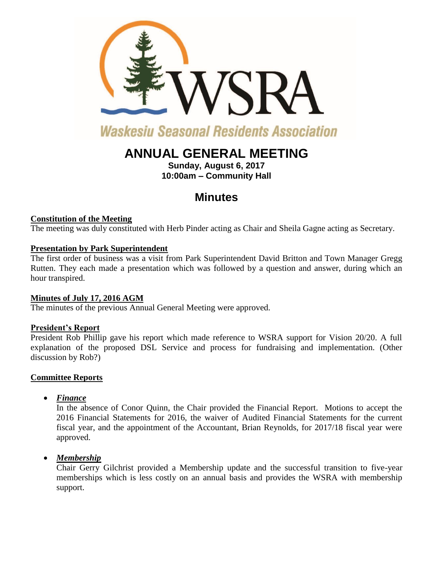

# **Waskesiu Seasonal Residents Association**

## **ANNUAL GENERAL MEETING**

**Sunday, August 6, 2017 10:00am – Community Hall**

## **Minutes**

### **Constitution of the Meeting**

The meeting was duly constituted with Herb Pinder acting as Chair and Sheila Gagne acting as Secretary.

### **Presentation by Park Superintendent**

The first order of business was a visit from Park Superintendent David Britton and Town Manager Gregg Rutten. They each made a presentation which was followed by a question and answer, during which an hour transpired.

## **Minutes of July 17, 2016 AGM**

The minutes of the previous Annual General Meeting were approved.

## **President's Report**

President Rob Phillip gave his report which made reference to WSRA support for Vision 20/20. A full explanation of the proposed DSL Service and process for fundraising and implementation. (Other discussion by Rob?)

#### **Committee Reports**

*Finance* 

In the absence of Conor Quinn, the Chair provided the Financial Report. Motions to accept the 2016 Financial Statements for 2016, the waiver of Audited Financial Statements for the current fiscal year, and the appointment of the Accountant, Brian Reynolds, for 2017/18 fiscal year were approved.

*Membership* 

Chair Gerry Gilchrist provided a Membership update and the successful transition to five-year memberships which is less costly on an annual basis and provides the WSRA with membership support.